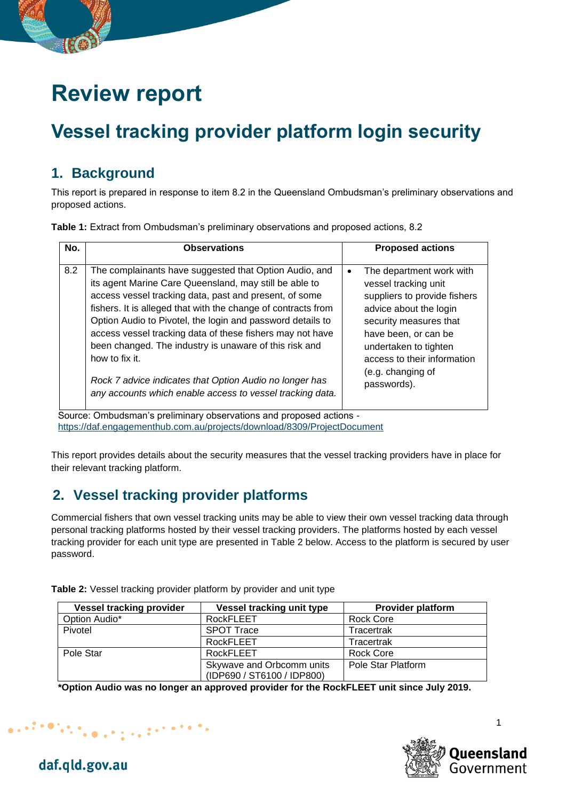# **Review report**

## **Vessel tracking provider platform login security**

#### **1. Background**

This report is prepared in response to item 8.2 in the Queensland Ombudsman's preliminary observations and proposed actions.

**Table 1:** Extract from Ombudsman's preliminary observations and proposed actions, 8.2

| No. | <b>Observations</b>                                                                                                                                                                                                                                                                                                                                                                                                                                                                                                                                                        | <b>Proposed actions</b>                                                                                                                                                                                                                                  |
|-----|----------------------------------------------------------------------------------------------------------------------------------------------------------------------------------------------------------------------------------------------------------------------------------------------------------------------------------------------------------------------------------------------------------------------------------------------------------------------------------------------------------------------------------------------------------------------------|----------------------------------------------------------------------------------------------------------------------------------------------------------------------------------------------------------------------------------------------------------|
| 8.2 | The complainants have suggested that Option Audio, and<br>its agent Marine Care Queensland, may still be able to<br>access vessel tracking data, past and present, of some<br>fishers. It is alleged that with the change of contracts from<br>Option Audio to Pivotel, the login and password details to<br>access vessel tracking data of these fishers may not have<br>been changed. The industry is unaware of this risk and<br>how to fix it.<br>Rock 7 advice indicates that Option Audio no longer has<br>any accounts which enable access to vessel tracking data. | The department work with<br>vessel tracking unit<br>suppliers to provide fishers<br>advice about the login<br>security measures that<br>have been, or can be<br>undertaken to tighten<br>access to their information<br>(e.g. changing of<br>passwords). |
| ⌒   |                                                                                                                                                                                                                                                                                                                                                                                                                                                                                                                                                                            |                                                                                                                                                                                                                                                          |

Source: Ombudsman's preliminary observations and proposed actions <https://daf.engagementhub.com.au/projects/download/8309/ProjectDocument>

This report provides details about the security measures that the vessel tracking providers have in place for their relevant tracking platform.

### **2. Vessel tracking provider platforms**

Commercial fishers that own vessel tracking units may be able to view their own vessel tracking data through personal tracking platforms hosted by their vessel tracking providers. The platforms hosted by each vessel tracking provider for each unit type are presented in [Table 2](#page-0-0) below. Access to the platform is secured by user password.

| <b>Vessel tracking provider</b> | Vessel tracking unit type  | <b>Provider platform</b> |  |
|---------------------------------|----------------------------|--------------------------|--|
| Option Audio*                   | RockFLEET                  | Rock Core                |  |
| Pivotel                         | <b>SPOT Trace</b>          | Tracertrak               |  |
|                                 | <b>RockFLEET</b>           | Tracertrak               |  |
| Pole Star                       | RockFLEET                  | <b>Rock Core</b>         |  |
|                                 | Skywave and Orbcomm units  | Pole Star Platform       |  |
|                                 | (IDP690 / ST6100 / IDP800) |                          |  |

<span id="page-0-0"></span>**Table 2:** Vessel tracking provider platform by provider and unit type

**\*Option Audio was no longer an approved provider for the RockFLEET unit since July 2019.**





1

daf.qld.gov.au